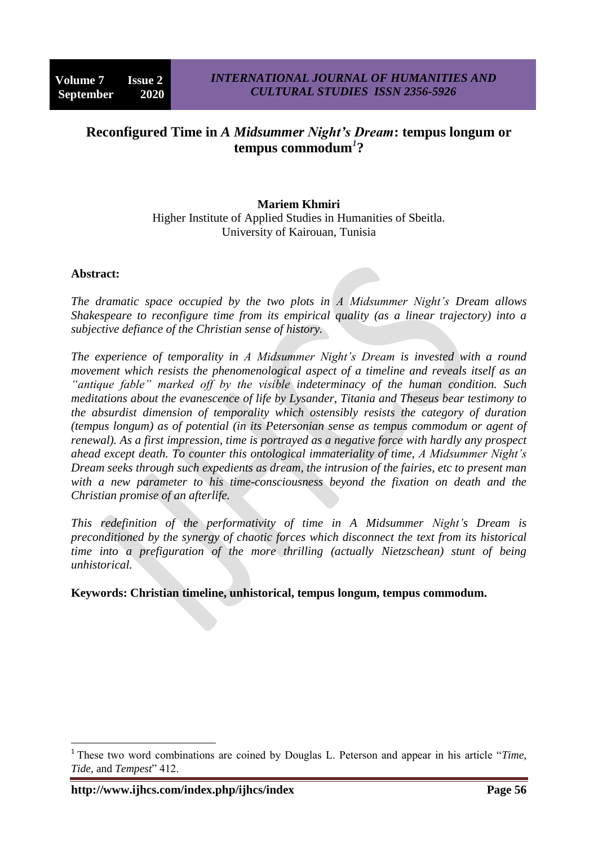# **Reconfigured Time in** *A Midsummer Night's Dream***: tempus longum or tempus commodum***<sup>1</sup>* **?**

### **Mariem Khmiri**

Higher Institute of Applied Studies in Humanities of Sbeitla. University of Kairouan, Tunisia

#### **Abstract:**

**.** 

*The dramatic space occupied by the two plots in A Midsummer Night's Dream allows Shakespeare to reconfigure time from its empirical quality (as a linear trajectory) into a subjective defiance of the Christian sense of history.*

*The experience of temporality in A Midsummer Night's Dream is invested with a round movement which resists the phenomenological aspect of a timeline and reveals itself as an "antique fable" marked off by the visible indeterminacy of the human condition. Such meditations about the evanescence of life by Lysander, Titania and Theseus bear testimony to the absurdist dimension of temporality which ostensibly resists the category of duration (tempus longum) as of potential (in its Petersonian sense as tempus commodum or agent of renewal). As a first impression, time is portrayed as a negative force with hardly any prospect ahead except death. To counter this ontological immateriality of time, A Midsummer Night's Dream seeks through such expedients as dream, the intrusion of the fairies, etc to present man with a new parameter to his time-consciousness beyond the fixation on death and the Christian promise of an afterlife.*

*This redefinition of the performativity of time in A Midsummer Night's Dream is preconditioned by the synergy of chaotic forces which disconnect the text from its historical time into a prefiguration of the more thrilling (actually Nietzschean) stunt of being unhistorical.*

**Keywords: Christian timeline, unhistorical, tempus longum, tempus commodum.**

<sup>&</sup>lt;sup>1</sup> These two word combinations are coined by Douglas L. Peterson and appear in his article "Time, Tide, and Tempest" 412.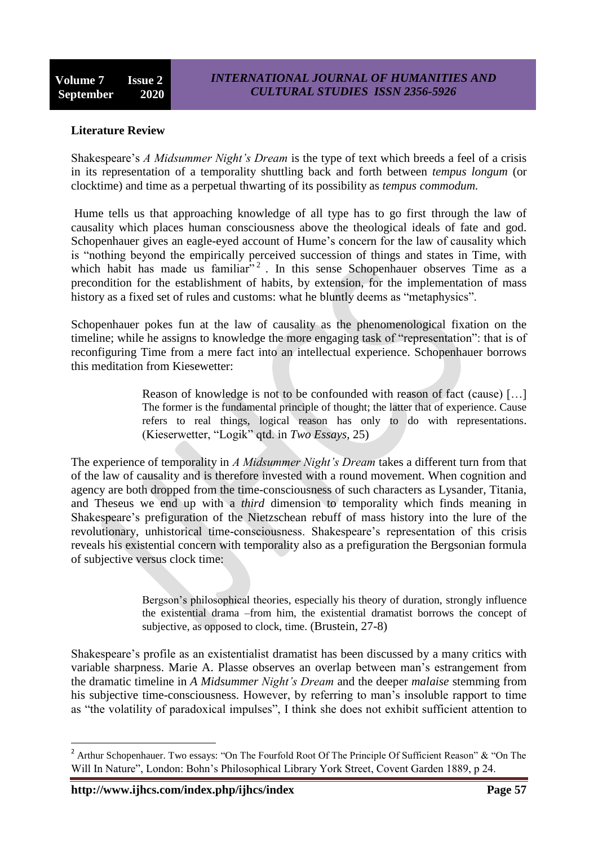### **Literature Review**

Shakespeare's *A Midsummer Night's Dream* is the type of text which breeds a feel of a crisis in its representation of a temporality shuttling back and forth between *tempus longum* (or clocktime) and time as a perpetual thwarting of its possibility as *tempus commodum.*

Hume tells us that approaching knowledge of all type has to go first through the law of causality which places human consciousness above the theological ideals of fate and god. Schopenhauer gives an eagle-eyed account of Hume's concern for the law of causality which is "nothing beyond the empirically perceived succession of things and states in Time, with which habit has made us familiar<sup>32</sup>. In this sense Schopenhauer observes Time as a precondition for the establishment of habits, by extension, for the implementation of mass history as a fixed set of rules and customs: what he bluntly deems as "metaphysics".

Schopenhauer pokes fun at the law of causality as the phenomenological fixation on the timeline; while he assigns to knowledge the more engaging task of "representation": that is of reconfiguring Time from a mere fact into an intellectual experience. Schopenhauer borrows this meditation from Kiesewetter:

> Reason of knowledge is not to be confounded with reason of fact (cause) […] The former is the fundamental principle of thought; the latter that of experience. Cause refers to real things, logical reason has only to do with representations. (Kieserwetter, "Logik" qtd. in *Two Essays*, 25)

The experience of temporality in *A Midsummer Night's Dream* takes a different turn from that of the law of causality and is therefore invested with a round movement. When cognition and agency are both dropped from the time-consciousness of such characters as Lysander, Titania, and Theseus we end up with a *third* dimension to temporality which finds meaning in Shakespeare's prefiguration of the Nietzschean rebuff of mass history into the lure of the revolutionary, unhistorical time-consciousness. Shakespeare's representation of this crisis reveals his existential concern with temporality also as a prefiguration the Bergsonian formula of subjective versus clock time:

> Bergson's philosophical theories, especially his theory of duration, strongly influence the existential drama –from him, the existential dramatist borrows the concept of subjective, as opposed to clock, time. (Brustein, 27-8)

Shakespeare's profile as an existentialist dramatist has been discussed by a many critics with variable sharpness. Marie A. Plasse observes an overlap between man's estrangement from the dramatic timeline in *A Midsummer Night's Dream* and the deeper *malaise* stemming from his subjective time-consciousness. However, by referring to man's insoluble rapport to time as "the volatility of paradoxical impulses". I think she does not exhibit sufficient attention to

**.** 

<sup>&</sup>lt;sup>2</sup> Arthur Schopenhauer. Two essays: "On The Fourfold Root Of The Principle Of Sufficient Reason"  $\&$  "On The Will In Nature", London: Bohn's Philosophical Library York Street, Covent Garden 1889, p 24.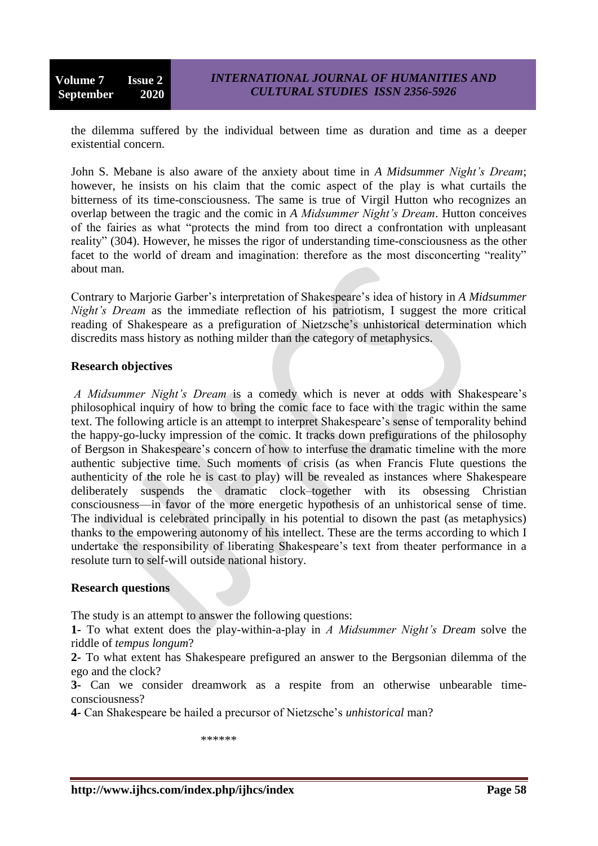the dilemma suffered by the individual between time as duration and time as a deeper existential concern.

John S. Mebane is also aware of the anxiety about time in *A Midsummer Night's Dream*; however, he insists on his claim that the comic aspect of the play is what curtails the bitterness of its time-consciousness. The same is true of Virgil Hutton who recognizes an overlap between the tragic and the comic in *A Midsummer Night's Dream*. Hutton conceives of the fairies as what "protects the mind from too direct a confrontation with unpleasant reality" (304). However, he misses the rigor of understanding time-consciousness as the other facet to the world of dream and imagination: therefore as the most disconcerting "reality" about man.

Contrary to Marjorie Garber's interpretation of Shakespeare's idea of history in *A Midsummer Night's Dream* as the immediate reflection of his patriotism, I suggest the more critical reading of Shakespeare as a prefiguration of Nietzsche's unhistorical determination which discredits mass history as nothing milder than the category of metaphysics.

### **Research objectives**

*A Midsummer Night's Dream* is a comedy which is never at odds with Shakespeare's philosophical inquiry of how to bring the comic face to face with the tragic within the same text. The following article is an attempt to interpret Shakespeare's sense of temporality behind the happy-go-lucky impression of the comic. It tracks down prefigurations of the philosophy of Bergson in Shakespeare's concern of how to interfuse the dramatic timeline with the more authentic subjective time. Such moments of crisis (as when Francis Flute questions the authenticity of the role he is cast to play) will be revealed as instances where Shakespeare deliberately suspends the dramatic clock–together with its obsessing Christian consciousness—in favor of the more energetic hypothesis of an unhistorical sense of time. The individual is celebrated principally in his potential to disown the past (as metaphysics) thanks to the empowering autonomy of his intellect. These are the terms according to which I undertake the responsibility of liberating Shakespeare's text from theater performance in a resolute turn to self-will outside national history.

### **Research questions**

The study is an attempt to answer the following questions:

**1-** To what extent does the play-within-a-play in *A Midsummer Night's Dream* solve the riddle of *tempus longum*?

**2-** To what extent has Shakespeare prefigured an answer to the Bergsonian dilemma of the ego and the clock?

**3-** Can we consider dreamwork as a respite from an otherwise unbearable timeconsciousness?

**4-** Can Shakespeare be hailed a precursor of Nietzsche's *unhistorical* man?

\*\*\*\*\*\*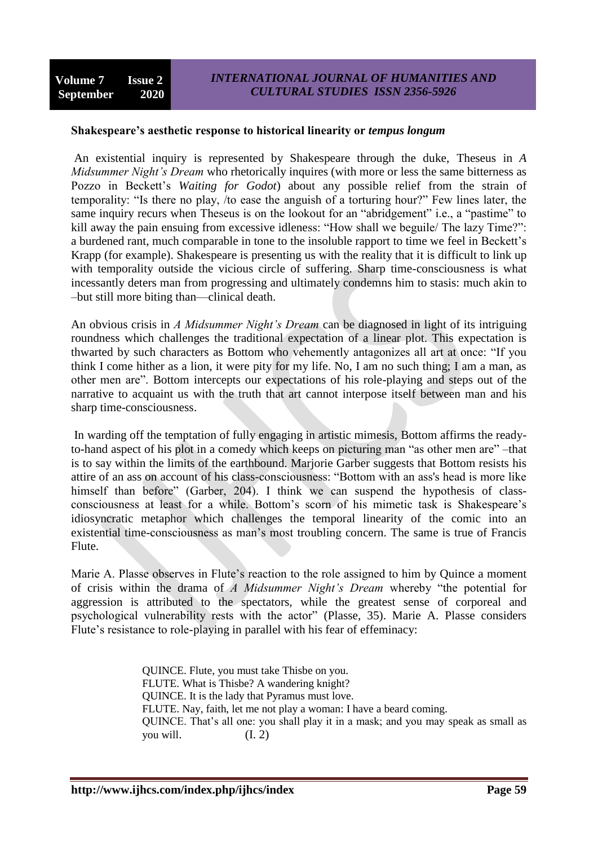#### **Shakespeare's aesthetic response to historical linearity or** *tempus longum*

An existential inquiry is represented by Shakespeare through the duke, Theseus in *A Midsummer Night's Dream* who rhetorically inquires (with more or less the same bitterness as Pozzo in Beckett's *Waiting for Godot*) about any possible relief from the strain of temporality: "Is there no play, /to ease the anguish of a torturing hour?" Few lines later, the same inquiry recurs when Theseus is on the lookout for an "abridgement" i.e., a "pastime" to kill away the pain ensuing from excessive idleness: "How shall we beguile/ The lazy Time?": a burdened rant, much comparable in tone to the insoluble rapport to time we feel in Beckett's Krapp (for example). Shakespeare is presenting us with the reality that it is difficult to link up with temporality outside the vicious circle of suffering. Sharp time-consciousness is what incessantly deters man from progressing and ultimately condemns him to stasis: much akin to –but still more biting than—clinical death.

An obvious crisis in *A Midsummer Night's Dream* can be diagnosed in light of its intriguing roundness which challenges the traditional expectation of a linear plot. This expectation is thwarted by such characters as Bottom who vehemently antagonizes all art at once: "If you think I come hither as a lion, it were pity for my life. No, I am no such thing; I am a man, as other men are". Bottom intercepts our expectations of his role-playing and steps out of the narrative to acquaint us with the truth that art cannot interpose itself between man and his sharp time-consciousness.

In warding off the temptation of fully engaging in artistic mimesis, Bottom affirms the readyto-hand aspect of his plot in a comedy which keeps on picturing man "as other men are" –that is to say within the limits of the earthbound. Marjorie Garber suggests that Bottom resists his attire of an ass on account of his class-consciousness: "Bottom with an ass's head is more like himself than before" (Garber, 204). I think we can suspend the hypothesis of classconsciousness at least for a while. Bottom's scorn of his mimetic task is Shakespeare's idiosyncratic metaphor which challenges the temporal linearity of the comic into an existential time-consciousness as man's most troubling concern. The same is true of Francis Flute.

Marie A. Plasse observes in Flute's reaction to the role assigned to him by Quince a moment of crisis within the drama of *A Midsummer Night's Dream* whereby "the potential for aggression is attributed to the spectators, while the greatest sense of corporeal and psychological vulnerability rests with the actor" (Plasse, 35). Marie A. Plasse considers Flute's resistance to role-playing in parallel with his fear of effeminacy:

> QUINCE. Flute, you must take Thisbe on you. FLUTE. What is Thisbe? A wandering knight? QUINCE. It is the lady that Pyramus must love. FLUTE. Nay, faith, let me not play a woman: I have a beard coming. QUINCE. That's all one: you shall play it in a mask; and you may speak as small as you will.  $(I, 2)$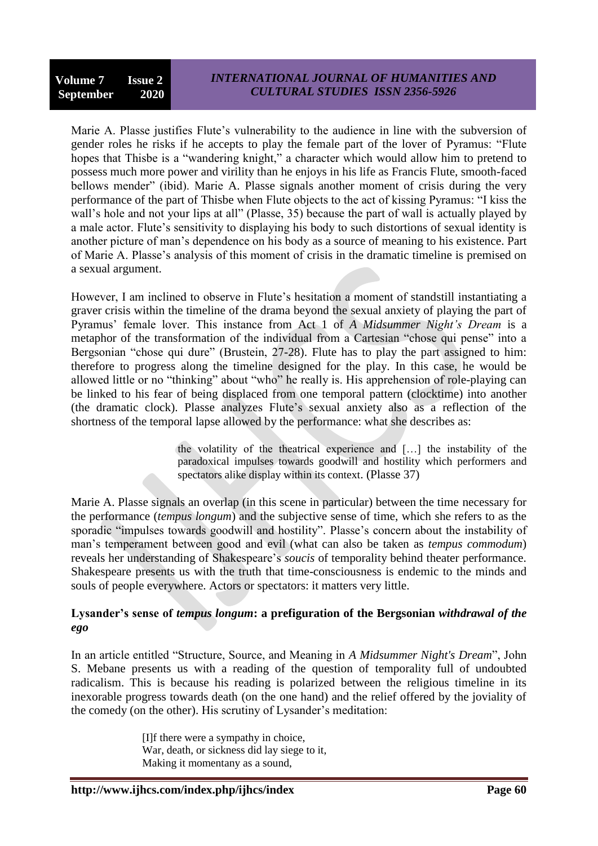Marie A. Plasse justifies Flute's vulnerability to the audience in line with the subversion of gender roles he risks if he accepts to play the female part of the lover of Pyramus: "Flute hopes that Thisbe is a "wandering knight," a character which would allow him to pretend to possess much more power and virility than he enjoys in his life as Francis Flute, smooth-faced bellows mender" (ibid). Marie A. Plasse signals another moment of crisis during the very performance of the part of Thisbe when Flute objects to the act of kissing Pyramus: "I kiss the wall's hole and not your lips at all" (Plasse, 35) because the part of wall is actually played by a male actor. Flute's sensitivity to displaying his body to such distortions of sexual identity is another picture of man's dependence on his body as a source of meaning to his existence. Part of Marie A. Plasse's analysis of this moment of crisis in the dramatic timeline is premised on a sexual argument.

However, I am inclined to observe in Flute's hesitation a moment of standstill instantiating a graver crisis within the timeline of the drama beyond the sexual anxiety of playing the part of Pyramus' female lover. This instance from Act 1 of *A Midsummer Night's Dream* is a metaphor of the transformation of the individual from a Cartesian "chose qui pense" into a Bergsonian "chose qui dure" (Brustein, 27-28). Flute has to play the part assigned to him: therefore to progress along the timeline designed for the play. In this case, he would be allowed little or no "thinking" about "who" he really is. His apprehension of role-playing can be linked to his fear of being displaced from one temporal pattern (clocktime) into another (the dramatic clock). Plasse analyzes Flute's sexual anxiety also as a reflection of the shortness of the temporal lapse allowed by the performance: what she describes as:

> the volatility of the theatrical experience and  $\lceil \cdot \rceil$  the instability of the paradoxical impulses towards goodwill and hostility which performers and spectators alike display within its context. (Plasse 37)

Marie A. Plasse signals an overlap (in this scene in particular) between the time necessary for the performance (*tempus longum*) and the subjective sense of time, which she refers to as the sporadic "impulses towards goodwill and hostility". Plasse's concern about the instability of man's temperament between good and evil (what can also be taken as *tempus commodum*) reveals her understanding of Shakespeare's *soucis* of temporality behind theater performance. Shakespeare presents us with the truth that time-consciousness is endemic to the minds and souls of people everywhere. Actors or spectators: it matters very little.

### **Lysander's sense of** *tempus longum***: a prefiguration of the Bergsonian** *withdrawal of the ego*

In an article entitled "Structure, Source, and Meaning in *A Midsummer Night's Dream*", John S. Mebane presents us with a reading of the question of temporality full of undoubted radicalism. This is because his reading is polarized between the religious timeline in its inexorable progress towards death (on the one hand) and the relief offered by the joviality of the comedy (on the other). His scrutiny of Lysander's meditation:

> [I]f there were a sympathy in choice, War, death, or sickness did lay siege to it, Making it momentany as a sound,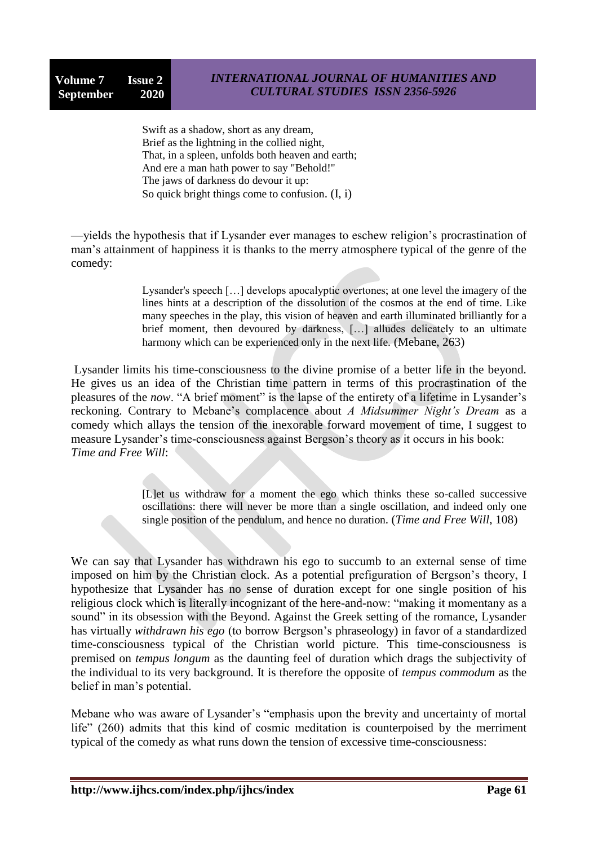Swift as a shadow, short as any dream, Brief as the lightning in the collied night, That, in a spleen, unfolds both heaven and earth; And ere a man hath power to say "Behold!" The jaws of darkness do devour it up: So quick bright things come to confusion. (I, i)

—yields the hypothesis that if Lysander ever manages to eschew religion's procrastination of man's attainment of happiness it is thanks to the merry atmosphere typical of the genre of the comedy:

> Lysander's speech […] develops apocalyptic overtones; at one level the imagery of the lines hints at a description of the dissolution of the cosmos at the end of time. Like many speeches in the play, this vision of heaven and earth illuminated brilliantly for a brief moment, then devoured by darkness, […] alludes delicately to an ultimate harmony which can be experienced only in the next life. (Mebane, 263)

Lysander limits his time-consciousness to the divine promise of a better life in the beyond. He gives us an idea of the Christian time pattern in terms of this procrastination of the pleasures of the *now*. "A brief moment" is the lapse of the entirety of a lifetime in Lysander's reckoning. Contrary to Mebane's complacence about *A Midsummer Night's Dream* as a comedy which allays the tension of the inexorable forward movement of time, I suggest to measure Lysander's time-consciousness against Bergson's theory as it occurs in his book: *Time and Free Will*:

> [L]et us withdraw for a moment the ego which thinks these so-called successive oscillations: there will never be more than a single oscillation, and indeed only one single position of the pendulum, and hence no duration. (*Time and Free Will*, 108)

We can say that Lysander has withdrawn his ego to succumb to an external sense of time imposed on him by the Christian clock. As a potential prefiguration of Bergson's theory, I hypothesize that Lysander has no sense of duration except for one single position of his religious clock which is literally incognizant of the here-and-now: "making it momentany as a sound" in its obsession with the Beyond. Against the Greek setting of the romance, Lysander has virtually *withdrawn his ego* (to borrow Bergson's phraseology) in favor of a standardized time-consciousness typical of the Christian world picture. This time-consciousness is premised on *tempus longum* as the daunting feel of duration which drags the subjectivity of the individual to its very background. It is therefore the opposite of *tempus commodum* as the belief in man's potential.

Mebane who was aware of Lysander's "emphasis upon the brevity and uncertainty of mortal life"  $(260)$  admits that this kind of cosmic meditation is counterpoised by the merriment typical of the comedy as what runs down the tension of excessive time-consciousness: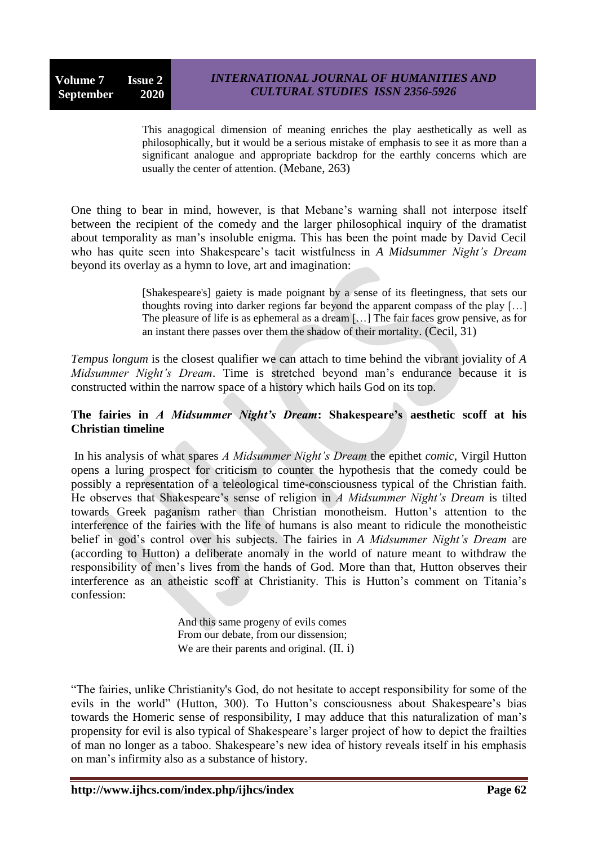This anagogical dimension of meaning enriches the play aesthetically as well as philosophically, but it would be a serious mistake of emphasis to see it as more than a significant analogue and appropriate backdrop for the earthly concerns which are usually the center of attention. (Mebane, 263)

One thing to bear in mind, however, is that Mebane's warning shall not interpose itself between the recipient of the comedy and the larger philosophical inquiry of the dramatist about temporality as man's insoluble enigma. This has been the point made by David Cecil who has quite seen into Shakespeare's tacit wistfulness in *A Midsummer Night's Dream*  beyond its overlay as a hymn to love, art and imagination:

> [Shakespeare's] gaiety is made poignant by a sense of its fleetingness, that sets our thoughts roving into darker regions far beyond the apparent compass of the play […] The pleasure of life is as ephemeral as a dream […] The fair faces grow pensive, as for an instant there passes over them the shadow of their mortality. (Cecil, 31)

*Tempus longum* is the closest qualifier we can attach to time behind the vibrant joviality of *A Midsummer Night's Dream*. Time is stretched beyond man's endurance because it is constructed within the narrow space of a history which hails God on its top.

## **The fairies in** *A Midsummer Night's Dream***: Shakespeare's aesthetic scoff at his Christian timeline**

In his analysis of what spares *A Midsummer Night's Dream* the epithet *comic*, Virgil Hutton opens a luring prospect for criticism to counter the hypothesis that the comedy could be possibly a representation of a teleological time-consciousness typical of the Christian faith. He observes that Shakespeare's sense of religion in *A Midsummer Night's Dream* is tilted towards Greek paganism rather than Christian monotheism. Hutton's attention to the interference of the fairies with the life of humans is also meant to ridicule the monotheistic belief in god's control over his subjects. The fairies in *A Midsummer Night's Dream* are (according to Hutton) a deliberate anomaly in the world of nature meant to withdraw the responsibility of men's lives from the hands of God. More than that, Hutton observes their interference as an atheistic scoff at Christianity. This is Hutton's comment on Titania's confession:

> And this same progeny of evils comes From our debate, from our dissension; We are their parents and original. (II. i)

<sup>―</sup>The fairies, unlike Christianity's God, do not hesitate to accept responsibility for some of the evils in the world" (Hutton, 300). To Hutton's consciousness about Shakespeare's bias towards the Homeric sense of responsibility, I may adduce that this naturalization of man's propensity for evil is also typical of Shakespeare's larger project of how to depict the frailties of man no longer as a taboo. Shakespeare's new idea of history reveals itself in his emphasis on man's infirmity also as a substance of history.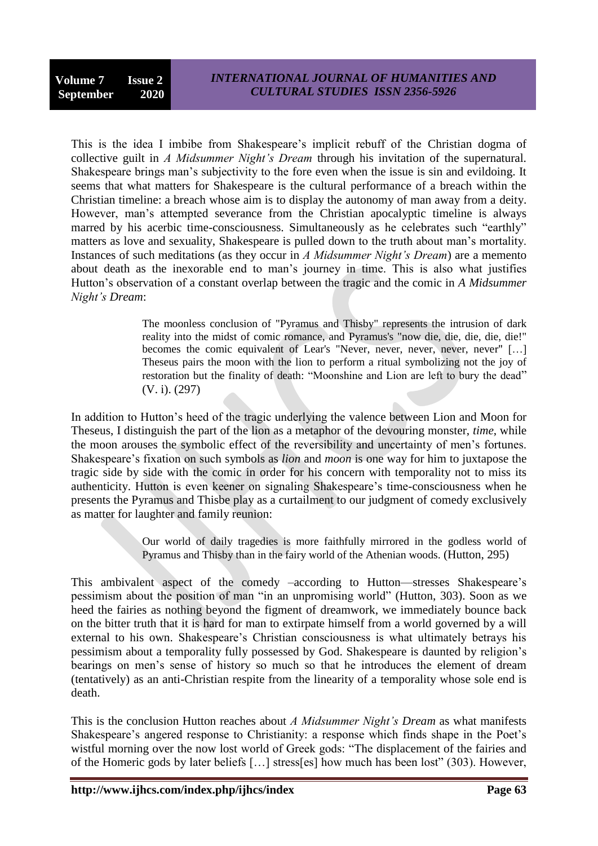This is the idea I imbibe from Shakespeare's implicit rebuff of the Christian dogma of collective guilt in *A Midsummer Night's Dream* through his invitation of the supernatural. Shakespeare brings man's subjectivity to the fore even when the issue is sin and evildoing. It seems that what matters for Shakespeare is the cultural performance of a breach within the Christian timeline: a breach whose aim is to display the autonomy of man away from a deity. However, man's attempted severance from the Christian apocalyptic timeline is always marred by his acerbic time-consciousness. Simultaneously as he celebrates such "earthly" matters as love and sexuality, Shakespeare is pulled down to the truth about man's mortality. Instances of such meditations (as they occur in *A Midsummer Night's Dream*) are a memento about death as the inexorable end to man's journey in time. This is also what justifies Hutton's observation of a constant overlap between the tragic and the comic in *A Midsummer Night's Dream*:

> The moonless conclusion of "Pyramus and Thisby" represents the intrusion of dark reality into the midst of comic romance, and Pyramus's "now die, die, die, die, die!" becomes the comic equivalent of Lear's "Never, never, never, never, never" [...] Theseus pairs the moon with the lion to perform a ritual symbolizing not the joy of restoration but the finality of death: "Moonshine and Lion are left to bury the dead" (V. i). (297)

In addition to Hutton's heed of the tragic underlying the valence between Lion and Moon for Theseus, I distinguish the part of the lion as a metaphor of the devouring monster, *time*, while the moon arouses the symbolic effect of the reversibility and uncertainty of men's fortunes. Shakespeare's fixation on such symbols as *lion* and *moon* is one way for him to juxtapose the tragic side by side with the comic in order for his concern with temporality not to miss its authenticity. Hutton is even keener on signaling Shakespeare's time-consciousness when he presents the Pyramus and Thisbe play as a curtailment to our judgment of comedy exclusively as matter for laughter and family reunion:

> Our world of daily tragedies is more faithfully mirrored in the godless world of Pyramus and Thisby than in the fairy world of the Athenian woods. (Hutton, 295)

This ambivalent aspect of the comedy –according to Hutton—stresses Shakespeare's pessimism about the position of man "in an unpromising world" (Hutton, 303). Soon as we heed the fairies as nothing beyond the figment of dreamwork, we immediately bounce back on the bitter truth that it is hard for man to extirpate himself from a world governed by a will external to his own. Shakespeare's Christian consciousness is what ultimately betrays his pessimism about a temporality fully possessed by God. Shakespeare is daunted by religion's bearings on men's sense of history so much so that he introduces the element of dream (tentatively) as an anti-Christian respite from the linearity of a temporality whose sole end is death.

This is the conclusion Hutton reaches about *A Midsummer Night's Dream* as what manifests Shakespeare's angered response to Christianity: a response which finds shape in the Poet's wistful morning over the now lost world of Greek gods: "The displacement of the fairies and of the Homeric gods by later beliefs [...] stress[es] how much has been lost" (303). However,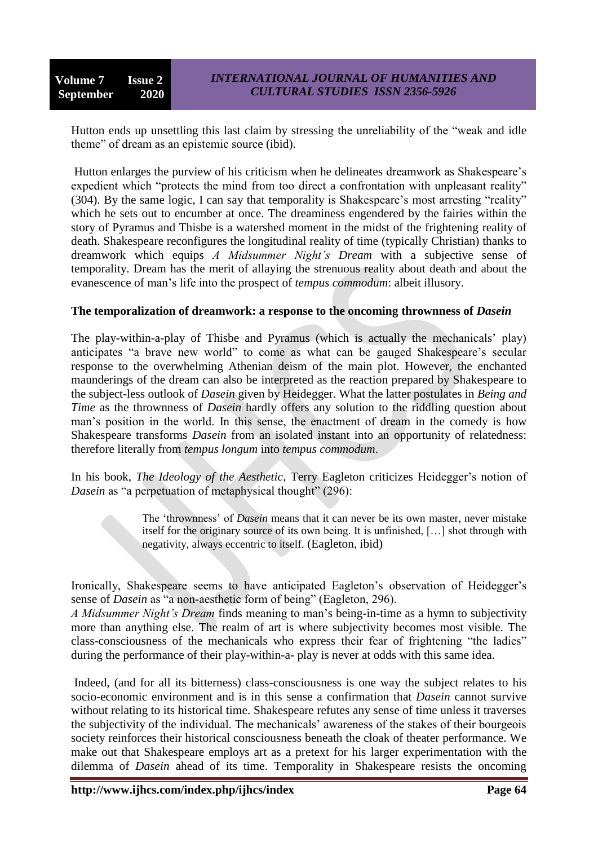Hutton ends up unsettling this last claim by stressing the unreliability of the "weak and idle" theme" of dream as an epistemic source (ibid).

Hutton enlarges the purview of his criticism when he delineates dreamwork as Shakespeare's expedient which "protects the mind from too direct a confrontation with unpleasant reality"  $(304)$ . By the same logic, I can say that temporality is Shakespeare's most arresting "reality" which he sets out to encumber at once. The dreaminess engendered by the fairies within the story of Pyramus and Thisbe is a watershed moment in the midst of the frightening reality of death. Shakespeare reconfigures the longitudinal reality of time (typically Christian) thanks to dreamwork which equips *A Midsummer Night's Dream* with a subjective sense of temporality. Dream has the merit of allaying the strenuous reality about death and about the evanescence of man's life into the prospect of *tempus commodum*: albeit illusory.

### **The temporalization of dreamwork: a response to the oncoming thrownness of** *Dasein*

The play-within-a-play of Thisbe and Pyramus (which is actually the mechanicals' play) anticipates "a brave new world" to come as what can be gauged Shakespeare's secular response to the overwhelming Athenian deism of the main plot. However, the enchanted maunderings of the dream can also be interpreted as the reaction prepared by Shakespeare to the subject-less outlook of *Dasein* given by Heidegger. What the latter postulates in *Being and Time* as the thrownness of *Dasein* hardly offers any solution to the riddling question about man's position in the world. In this sense, the enactment of dream in the comedy is how Shakespeare transforms *Dasein* from an isolated instant into an opportunity of relatedness: therefore literally from *tempus longum* into *tempus commodum*.

In his book, *The Ideology of the Aesthetic*, Terry Eagleton criticizes Heidegger's notion of *Dasein* as "a perpetuation of metaphysical thought" (296):

> The 'thrownness' of *Dasein* means that it can never be its own master, never mistake itself for the originary source of its own being. It is unfinished, […] shot through with negativity, always eccentric to itself. (Eagleton, ibid)

Ironically, Shakespeare seems to have anticipated Eagleton's observation of Heidegger's sense of *Dasein* as "a non-aesthetic form of being" (Eagleton, 296).

*A Midsummer Night's Dream* finds meaning to man's being-in-time as a hymn to subjectivity more than anything else. The realm of art is where subjectivity becomes most visible. The class-consciousness of the mechanicals who express their fear of frightening "the ladies" during the performance of their play-within-a- play is never at odds with this same idea.

Indeed, (and for all its bitterness) class-consciousness is one way the subject relates to his socio-economic environment and is in this sense a confirmation that *Dasein* cannot survive without relating to its historical time. Shakespeare refutes any sense of time unless it traverses the subjectivity of the individual. The mechanicals' awareness of the stakes of their bourgeois society reinforces their historical consciousness beneath the cloak of theater performance. We make out that Shakespeare employs art as a pretext for his larger experimentation with the dilemma of *Dasein* ahead of its time. Temporality in Shakespeare resists the oncoming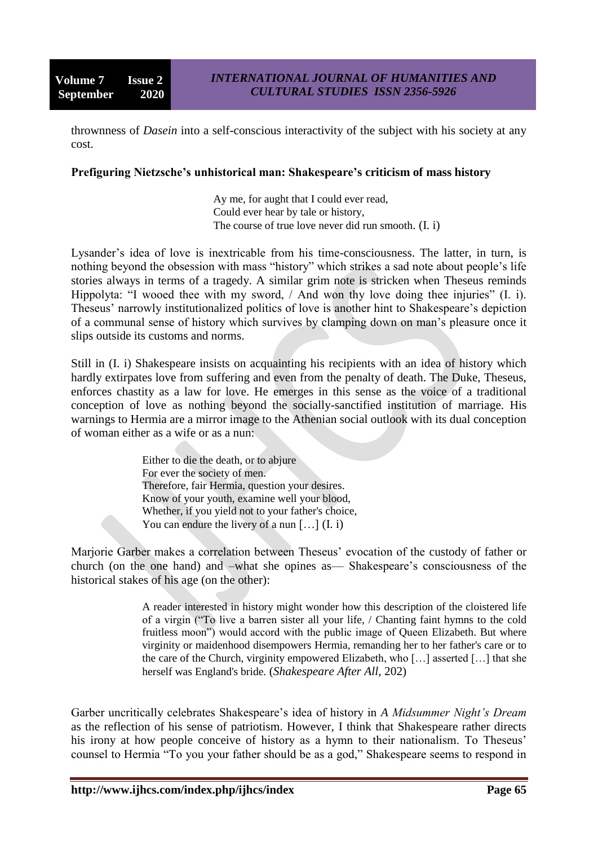thrownness of *Dasein* into a self-conscious interactivity of the subject with his society at any cost.

#### **Prefiguring Nietzsche's unhistorical man: Shakespeare's criticism of mass history**

Ay me, for aught that I could ever read, Could ever hear by tale or history, The course of true love never did run smooth. (I. i)

Lysander's idea of love is inextricable from his time-consciousness. The latter, in turn, is nothing beyond the obsession with mass "history" which strikes a sad note about people's life stories always in terms of a tragedy. A similar grim note is stricken when Theseus reminds Hippolyta: "I wooed thee with my sword,  $/$  And won thy love doing thee injuries" (I. i). Theseus' narrowly institutionalized politics of love is another hint to Shakespeare's depiction of a communal sense of history which survives by clamping down on man's pleasure once it slips outside its customs and norms.

Still in (I. i) Shakespeare insists on acquainting his recipients with an idea of history which hardly extirpates love from suffering and even from the penalty of death. The Duke, Theseus, enforces chastity as a law for love. He emerges in this sense as the voice of a traditional conception of love as nothing beyond the socially-sanctified institution of marriage. His warnings to Hermia are a mirror image to the Athenian social outlook with its dual conception of woman either as a wife or as a nun:

> Either to die the death, or to abjure For ever the society of men. Therefore, fair Hermia, question your desires. Know of your youth, examine well your blood, Whether, if you yield not to your father's choice, You can endure the livery of a nun  $[\,\ldots]$   $(I, i)$

Marjorie Garber makes a correlation between Theseus' evocation of the custody of father or church (on the one hand) and –what she opines as— Shakespeare's consciousness of the historical stakes of his age (on the other):

> A reader interested in history might wonder how this description of the cloistered life of a virgin ("To live a barren sister all your life, / Chanting faint hymns to the cold fruitless moon") would accord with the public image of Queen Elizabeth. But where virginity or maidenhood disempowers Hermia, remanding her to her father's care or to the care of the Church, virginity empowered Elizabeth, who […] asserted […] that she herself was England's bride. (*Shakespeare After All*, 202)

Garber uncritically celebrates Shakespeare's idea of history in *A Midsummer Night's Dream*  as the reflection of his sense of patriotism. However, I think that Shakespeare rather directs his irony at how people conceive of history as a hymn to their nationalism. To Theseus' counsel to Hermia "To you your father should be as a god," Shakespeare seems to respond in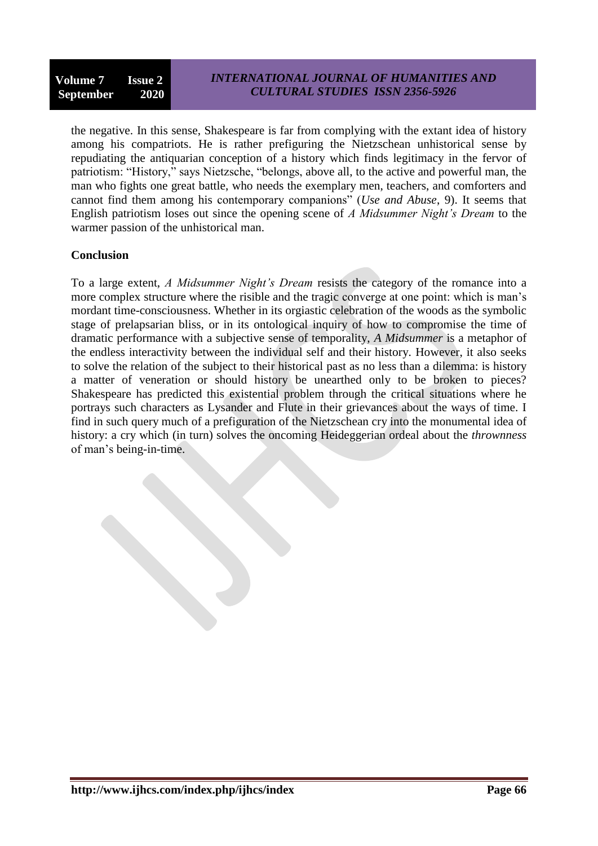the negative. In this sense, Shakespeare is far from complying with the extant idea of history among his compatriots. He is rather prefiguring the Nietzschean unhistorical sense by repudiating the antiquarian conception of a history which finds legitimacy in the fervor of patriotism: "History," says Nietzsche, "belongs, above all, to the active and powerful man, the man who fights one great battle, who needs the exemplary men, teachers, and comforters and cannot find them among his contemporary companions" (*Use and Abuse*, 9). It seems that English patriotism loses out since the opening scene of *A Midsummer Night's Dream* to the warmer passion of the unhistorical man.

# **Conclusion**

To a large extent, *A Midsummer Night's Dream* resists the category of the romance into a more complex structure where the risible and the tragic converge at one point: which is man's mordant time-consciousness. Whether in its orgiastic celebration of the woods as the symbolic stage of prelapsarian bliss, or in its ontological inquiry of how to compromise the time of dramatic performance with a subjective sense of temporality, *A Midsummer* is a metaphor of the endless interactivity between the individual self and their history. However, it also seeks to solve the relation of the subject to their historical past as no less than a dilemma: is history a matter of veneration or should history be unearthed only to be broken to pieces? Shakespeare has predicted this existential problem through the critical situations where he portrays such characters as Lysander and Flute in their grievances about the ways of time. I find in such query much of a prefiguration of the Nietzschean cry into the monumental idea of history: a cry which (in turn) solves the oncoming Heideggerian ordeal about the *thrownness*  of man's being-in-time.